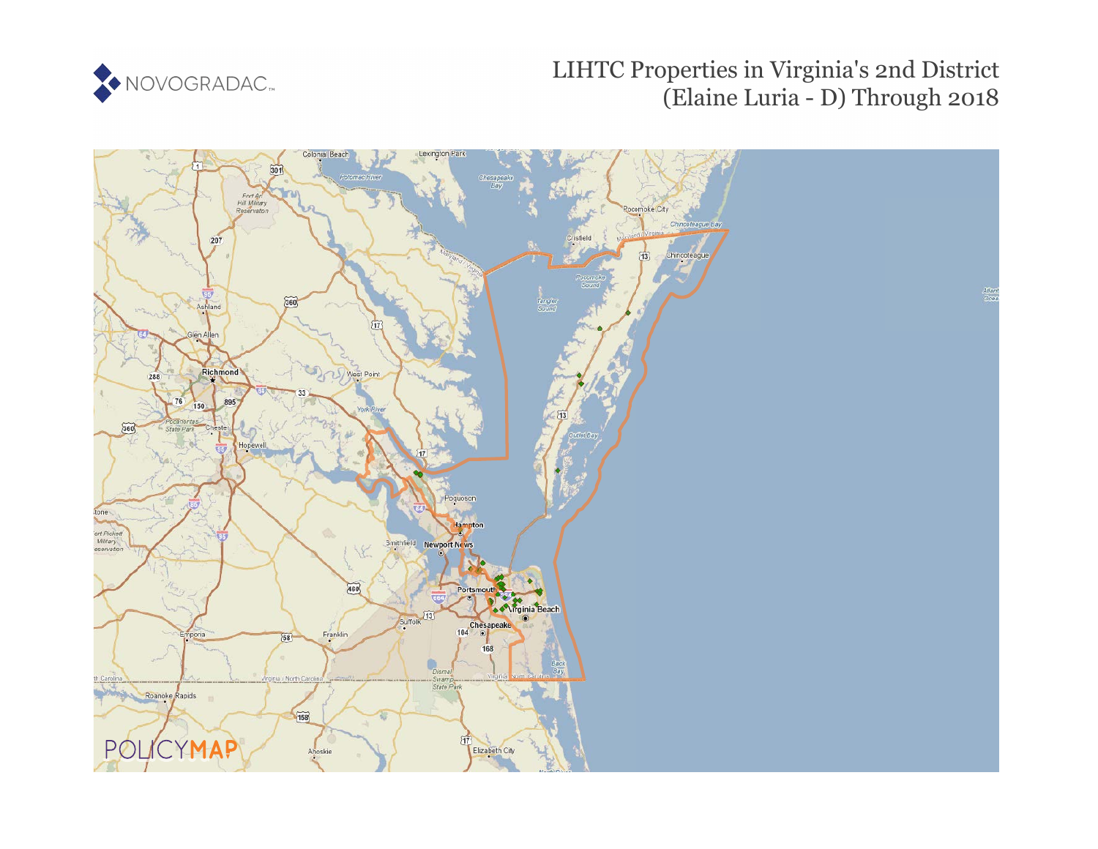

## LIHTC Properties in Virginia's 2nd District (Elaine Luria - D) Through 2018

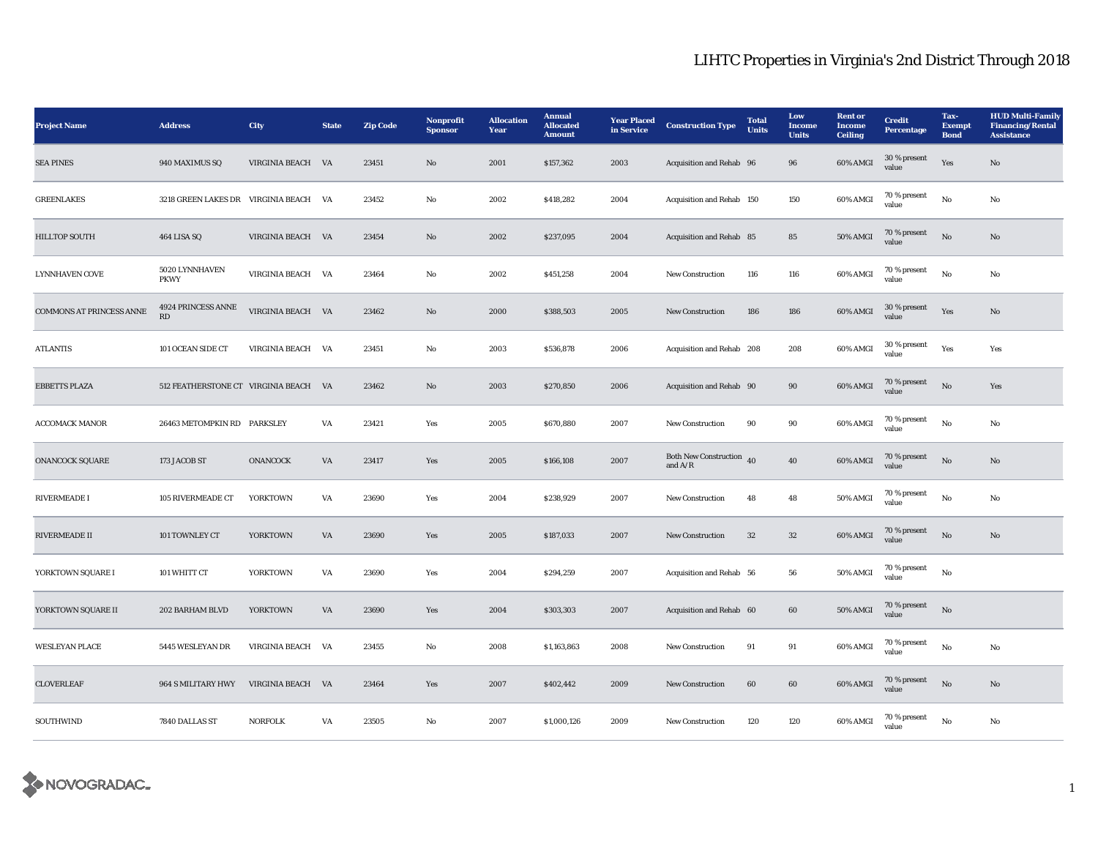## LIHTC Properties in Virginia's 2nd District Through 2018

| <b>Project Name</b>             | <b>Address</b>                              | <b>City</b>       | <b>State</b> | <b>Zip Code</b> | Nonprofit<br><b>Sponsor</b> | <b>Allocation</b><br>Year | <b>Annual</b><br><b>Allocated</b><br><b>Amount</b> | <b>Year Placed</b><br>in Service | <b>Construction Type</b>                | <b>Total</b><br><b>Units</b> | Low<br><b>Income</b><br><b>Units</b> | <b>Rent</b> or<br><b>Income</b><br><b>Ceiling</b> | <b>Credit</b><br><b>Percentage</b> | Tax-<br><b>Exempt</b><br><b>Bond</b> | <b>HUD Multi-Family</b><br><b>Financing/Rental</b><br><b>Assistance</b> |
|---------------------------------|---------------------------------------------|-------------------|--------------|-----------------|-----------------------------|---------------------------|----------------------------------------------------|----------------------------------|-----------------------------------------|------------------------------|--------------------------------------|---------------------------------------------------|------------------------------------|--------------------------------------|-------------------------------------------------------------------------|
| <b>SEA PINES</b>                | 940 MAXIMUS SQ                              | VIRGINIA BEACH VA |              | 23451           | No                          | 2001                      | \$157,362                                          | 2003                             | Acquisition and Rehab 96                |                              | 96                                   | 60% AMGI                                          | 30 % present<br>value              | Yes                                  | No                                                                      |
| <b>GREENLAKES</b>               | 3218 GREEN LAKES DR    VIRGINIA BEACH    VA |                   |              | 23452           | No                          | 2002                      | \$418,282                                          | 2004                             | Acquisition and Rehab 150               |                              | 150                                  | 60% AMGI                                          | 70 % present<br>value              | $_{\rm No}$                          | No                                                                      |
| HILLTOP SOUTH                   | 464 LISA SQ                                 | VIRGINIA BEACH VA |              | 23454           | No                          | 2002                      | \$237,095                                          | 2004                             | Acquisition and Rehab 85                |                              | 85                                   | <b>50% AMGI</b>                                   | 70 % present<br>value              | $\mathbf{N}\mathbf{o}$               | No                                                                      |
| <b>LYNNHAVEN COVE</b>           | 5020 LYNNHAVEN<br><b>PKWY</b>               | VIRGINIA BEACH VA |              | 23464           | No                          | 2002                      | \$451,258                                          | 2004                             | New Construction                        | 116                          | 116                                  | 60% AMGI                                          | 70 % present<br>value              | $_{\rm No}$                          | No                                                                      |
| <b>COMMONS AT PRINCESS ANNE</b> | 4924 PRINCESS ANNE<br>RD                    | VIRGINIA BEACH VA |              | 23462           | $\mathbf{N}\mathbf{o}$      | 2000                      | \$388,503                                          | 2005                             | New Construction                        | 186                          | 186                                  | 60% AMGI                                          | 30 % present<br>value              | Yes                                  | No                                                                      |
| <b>ATLANTIS</b>                 | 101 OCEAN SIDE CT                           | VIRGINIA BEACH VA |              | 23451           | No                          | 2003                      | \$536,878                                          | 2006                             | Acquisition and Rehab 208               |                              | 208                                  | 60% AMGI                                          | 30 % present<br>value              | Yes                                  | Yes                                                                     |
| <b>EBBETTS PLAZA</b>            | 512 FEATHERSTONE CT VIRGINIA BEACH VA       |                   |              | 23462           | $\mathbf{N}\mathbf{o}$      | 2003                      | \$270,850                                          | 2006                             | Acquisition and Rehab 90                |                              | $90\,$                               | 60% AMGI                                          | 70 % present<br>value              | $_{\rm No}$                          | Yes                                                                     |
| <b>ACCOMACK MANOR</b>           | 26463 METOMPKIN RD PARKSLEY                 |                   | VA           | 23421           | Yes                         | 2005                      | \$670,880                                          | 2007                             | New Construction                        | 90                           | $90\,$                               | 60% AMGI                                          | 70 % present<br>value              | No                                   | No                                                                      |
| <b>ONANCOCK SQUARE</b>          | 173 JACOB ST                                | <b>ONANCOCK</b>   | VA           | 23417           | Yes                         | 2005                      | \$166,108                                          | 2007                             | Both New Construction $40$<br>and $A/R$ |                              | 40                                   | 60% AMGI                                          | 70 % present<br>value              | $\mathbf{N}\mathbf{o}$               | No                                                                      |
| RIVERMEADE I                    | 105 RIVERMEADE CT                           | <b>YORKTOWN</b>   | VA           | 23690           | Yes                         | 2004                      | \$238,929                                          | 2007                             | New Construction                        | 48                           | 48                                   | 50% AMGI                                          | 70 % present<br>value              | No                                   | No                                                                      |
| RIVERMEADE II                   | 101 TOWNLEY CT                              | <b>YORKTOWN</b>   | VA           | 23690           | Yes                         | 2005                      | \$187,033                                          | 2007                             | <b>New Construction</b>                 | 32                           | 32                                   | 60% AMGI                                          | 70 % present<br>value              | No                                   | No                                                                      |
| YORKTOWN SQUARE I               | 101 WHITT CT                                | <b>YORKTOWN</b>   | VA           | 23690           | Yes                         | 2004                      | \$294,259                                          | 2007                             | Acquisition and Rehab 56                |                              | 56                                   | <b>50% AMGI</b>                                   | 70 % present<br>value              | No                                   |                                                                         |
| YORKTOWN SQUARE II              | 202 BARHAM BLVD                             | <b>YORKTOWN</b>   | VA           | 23690           | Yes                         | 2004                      | \$303,303                                          | 2007                             | Acquisition and Rehab 60                |                              | 60                                   | <b>50% AMGI</b>                                   | $70\,\%$ present<br>value          | $\rm No$                             |                                                                         |
| <b>WESLEYAN PLACE</b>           | 5445 WESLEYAN DR                            | VIRGINIA BEACH VA |              | 23455           | No                          | 2008                      | \$1,163,863                                        | 2008                             | <b>New Construction</b>                 | 91                           | 91                                   | 60% AMGI                                          | 70 % present<br>value              | No                                   | No                                                                      |
| <b>CLOVERLEAF</b>               | 964 S MILITARY HWY                          | VIRGINIA BEACH VA |              | 23464           | Yes                         | 2007                      | \$402,442                                          | 2009                             | <b>New Construction</b>                 | 60                           | 60                                   | 60% AMGI                                          | 70 % present<br>value              | $\rm No$                             | No                                                                      |
| SOUTHWIND                       | 7840 DALLAS ST                              | <b>NORFOLK</b>    | VA           | 23505           | No                          | 2007                      | \$1,000,126                                        | 2009                             | New Construction                        | 120                          | 120                                  | 60% AMGI                                          | 70 % present<br>value              | No                                   | No                                                                      |

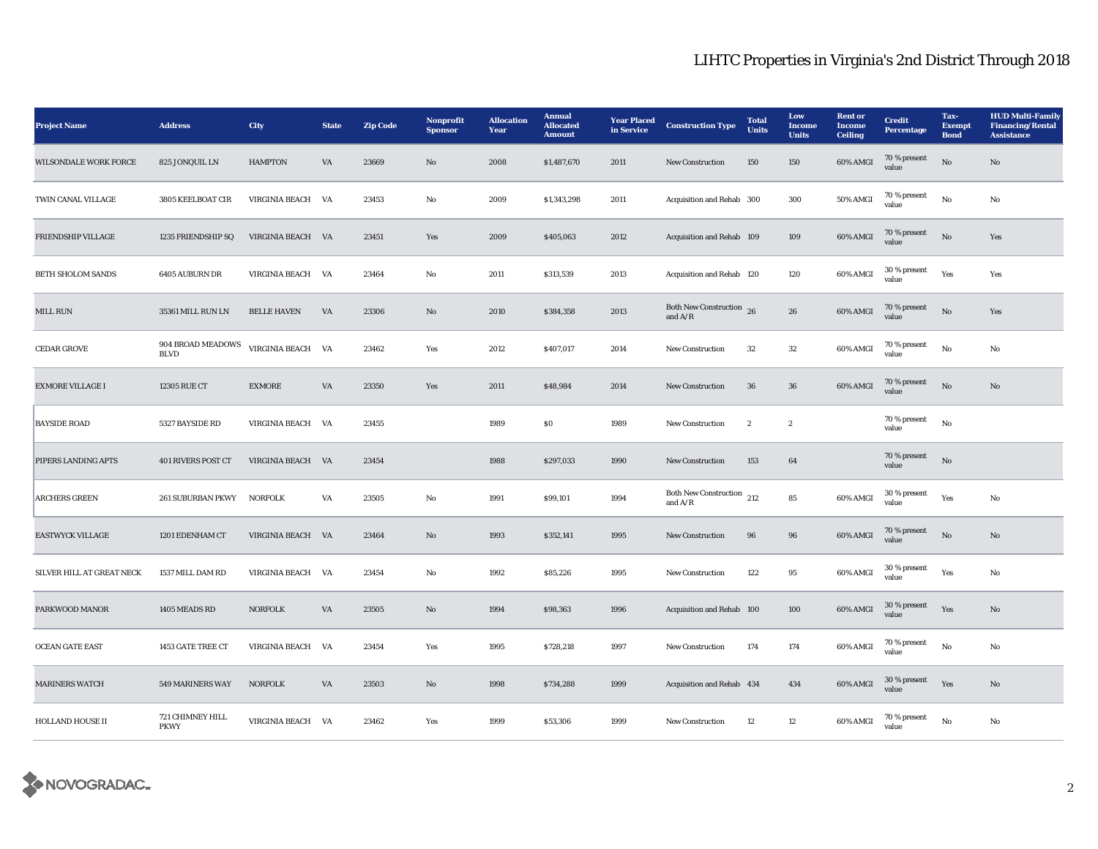## LIHTC Properties in Virginia's 2nd District Through 2018

| <b>Project Name</b>          | <b>Address</b>                   | <b>City</b>           | <b>State</b> | <b>Zip Code</b> | Nonprofit<br><b>Sponsor</b> | <b>Allocation</b><br>Year | <b>Annual</b><br><b>Allocated</b><br><b>Amount</b> | <b>Year Placed</b><br>in Service | <b>Construction Type</b>                    | <b>Total</b><br><b>Units</b> | Low<br><b>Income</b><br><b>Units</b> | <b>Rent</b> or<br><b>Income</b><br><b>Ceiling</b> | <b>Credit</b><br><b>Percentage</b> | Tax-<br><b>Exempt</b><br><b>Bond</b> | <b>HUD Multi-Family</b><br><b>Financing/Rental</b><br><b>Assistance</b> |
|------------------------------|----------------------------------|-----------------------|--------------|-----------------|-----------------------------|---------------------------|----------------------------------------------------|----------------------------------|---------------------------------------------|------------------------------|--------------------------------------|---------------------------------------------------|------------------------------------|--------------------------------------|-------------------------------------------------------------------------|
| <b>WILSONDALE WORK FORCE</b> | 825 JONQUIL LN                   | <b>HAMPTON</b>        | VA           | 23669           | No                          | 2008                      | \$1,487,670                                        | 2011                             | <b>New Construction</b>                     | 150                          | 150                                  | 60% AMGI                                          | 70 % present<br>value              | $_{\rm No}$                          | No                                                                      |
| TWIN CANAL VILLAGE           | 3805 KEELBOAT CIR                | VIRGINIA BEACH VA     |              | 23453           | No                          | 2009                      | \$1,343,298                                        | 2011                             | Acquisition and Rehab 300                   |                              | 300                                  | 50% AMGI                                          | 70 % present<br>value              | $\mathbf{No}$                        | No                                                                      |
| FRIENDSHIP VILLAGE           | 1235 FRIENDSHIP SQ               | VIRGINIA BEACH VA     |              | 23451           | Yes                         | 2009                      | \$405,063                                          | 2012                             | Acquisition and Rehab 109                   |                              | 109                                  | 60% AMGI                                          | 70 % present<br>value              | No                                   | Yes                                                                     |
| <b>BETH SHOLOM SANDS</b>     | 6405 AUBURN DR                   | VIRGINIA BEACH VA     |              | 23464           | No                          | 2011                      | \$313,539                                          | 2013                             | Acquisition and Rehab 120                   |                              | 120                                  | 60% AMGI                                          | 30 % present<br>value              | Yes                                  | Yes                                                                     |
| MILL RUN                     | 35361 MILL RUN LN                | <b>BELLE HAVEN</b>    | VA           | 23306           | No                          | 2010                      | \$384,358                                          | 2013                             | Both New Construction 26<br>and $A/R$       |                              | 26                                   | 60% AMGI                                          | 70 % present<br>value              | No                                   | Yes                                                                     |
| <b>CEDAR GROVE</b>           | 904 BROAD MEADOWS<br><b>BLVD</b> | VIRGINIA BEACH VA     |              | 23462           | Yes                         | 2012                      | \$407,017                                          | 2014                             | <b>New Construction</b>                     | 32                           | $32\,$                               | 60% AMGI                                          | 70 % present<br>value              | No                                   | No                                                                      |
| <b>EXMORE VILLAGE I</b>      | 12305 RUE CT                     | <b>EXMORE</b>         | VA           | 23350           | Yes                         | 2011                      | \$48,984                                           | 2014                             | <b>New Construction</b>                     | ${\bf 36}$                   | ${\bf 36}$                           | 60% AMGI                                          | 70 % present<br>value              | No                                   | $\mathbf{No}$                                                           |
| <b>BAYSIDE ROAD</b>          | 5327 BAYSIDE RD                  | VIRGINIA BEACH        | VA           | 23455           |                             | 1989                      | $\$0$                                              | 1989                             | New Construction                            | $\boldsymbol{2}$             | $\boldsymbol{2}$                     |                                                   | 70 % present<br>value              | $_{\rm No}$                          |                                                                         |
| PIPERS LANDING APTS          | <b>401 RIVERS POST CT</b>        | VIRGINIA BEACH VA     |              | 23454           |                             | 1988                      | \$297,033                                          | 1990                             | <b>New Construction</b>                     | 153                          | 64                                   |                                                   | 70 % present<br>value              | $\rm No$                             |                                                                         |
| <b>ARCHERS GREEN</b>         | <b>261 SUBURBAN PKWY</b>         | <b>NORFOLK</b>        | VA           | 23505           | No                          | 1991                      | \$99,101                                           | 1994                             | Both New Construction $\,$ 212<br>and $A/R$ |                              | 85                                   | 60% AMGI                                          | 30 % present<br>value              | Yes                                  | No                                                                      |
| <b>EASTWYCK VILLAGE</b>      | 1201 EDENHAM CT                  | VIRGINIA BEACH VA     |              | 23464           | No                          | 1993                      | \$352,141                                          | 1995                             | <b>New Construction</b>                     | 96                           | 96                                   | 60% AMGI                                          | 70 % present<br>value              | $\rm No$                             | No                                                                      |
| SILVER HILL AT GREAT NECK    | 1537 MILL DAM RD                 | VIRGINIA BEACH VA     |              | 23454           | No                          | 1992                      | \$85,226                                           | 1995                             | <b>New Construction</b>                     | 122                          | 95                                   | 60% AMGI                                          | $30\,\%$ present<br>value          | Yes                                  | No                                                                      |
| PARKWOOD MANOR               | 1405 MEADS RD                    | <b>NORFOLK</b>        | VA           | 23505           | No                          | 1994                      | \$98,363                                           | 1996                             | Acquisition and Rehab 100                   |                              | 100                                  | 60% AMGI                                          | 30 % present<br>value              | Yes                                  | $\mathbf{N}\mathbf{o}$                                                  |
| <b>OCEAN GATE EAST</b>       | 1453 GATE TREE CT                | <b>VIRGINIA BEACH</b> | VA           | 23454           | Yes                         | 1995                      | \$728,218                                          | 1997                             | <b>New Construction</b>                     | 174                          | 174                                  | 60% AMGI                                          | 70 % present<br>value              | $_{\rm No}$                          | No                                                                      |
| <b>MARINERS WATCH</b>        | 549 MARINERS WAY                 | <b>NORFOLK</b>        | VA           | 23503           | No                          | 1998                      | \$734,288                                          | 1999                             | Acquisition and Rehab 434                   |                              | 434                                  | 60% AMGI                                          | 30 % present<br>value              | Yes                                  | $\mathbf{No}$                                                           |
| <b>HOLLAND HOUSE II</b>      | 721 CHIMNEY HILL<br><b>PKWY</b>  | VIRGINIA BEACH VA     |              | 23462           | Yes                         | 1999                      | \$53,306                                           | 1999                             | <b>New Construction</b>                     | 12                           | 12                                   | 60% AMGI                                          | 70 % present<br>value              | No                                   | No                                                                      |

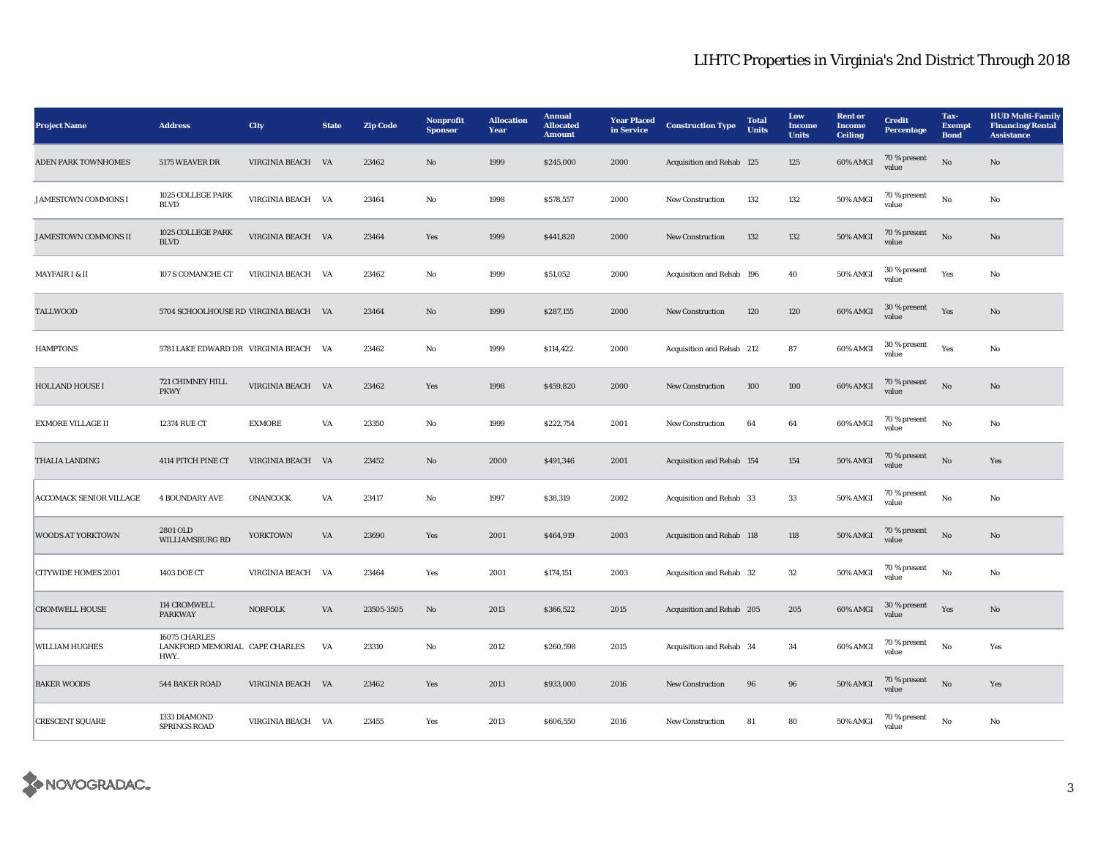## LIHTC Properties in Virginia's 2nd District Through 2018

| <b>Project Name</b>            | <b>Address</b>                                          | <b>City</b>           | <b>State</b> | <b>Zip Code</b> | Nonprofit<br><b>Sponsor</b> | <b>Allocation</b><br>Year | <b>Annual</b><br><b>Allocated</b><br><b>Amount</b> | <b>Year Placed</b><br>in Service | <b>Construction Type</b>  | <b>Total</b><br><b>Units</b> | Low<br><b>Income</b><br><b>Units</b> | <b>Rent</b> or<br><b>Income</b><br><b>Ceiling</b> | <b>Credit</b><br><b>Percentage</b> | Tax-<br><b>Exempt</b><br><b>Bond</b> | <b>HUD Multi-Family</b><br><b>Financing/Rental</b><br><b>Assistance</b> |
|--------------------------------|---------------------------------------------------------|-----------------------|--------------|-----------------|-----------------------------|---------------------------|----------------------------------------------------|----------------------------------|---------------------------|------------------------------|--------------------------------------|---------------------------------------------------|------------------------------------|--------------------------------------|-------------------------------------------------------------------------|
| <b>ADEN PARK TOWNHOMES</b>     | 5175 WEAVER DR                                          | VIRGINIA BEACH VA     |              | 23462           | No                          | 1999                      | \$245,000                                          | 2000                             | Acquisition and Rehab 125 |                              | 125                                  | 60% AMGI                                          | 70 % present<br>value              | No                                   | No                                                                      |
| <b>JAMESTOWN COMMONS I</b>     | 1025 COLLEGE PARK<br><b>BLVD</b>                        | VIRGINIA BEACH VA     |              | 23464           | No                          | 1998                      | \$578,557                                          | 2000                             | <b>New Construction</b>   | 132                          | 132                                  | 50% AMGI                                          | 70 % present<br>value              | No                                   | No                                                                      |
| <b>JAMESTOWN COMMONS II</b>    | 1025 COLLEGE PARK<br>$\operatorname{BLVD}$              | VIRGINIA BEACH VA     |              | 23464           | Yes                         | 1999                      | \$441,820                                          | 2000                             | <b>New Construction</b>   | 132                          | 132                                  | 50% AMGI                                          | 70 % present<br>value              | No                                   | No                                                                      |
| <b>MAYFAIR I &amp; II</b>      | 107 S COMANCHE CT                                       | <b>VIRGINIA BEACH</b> | VA           | 23462           | No                          | 1999                      | \$51,052                                           | 2000                             | Acquisition and Rehab 196 |                              | 40                                   | 50% AMGI                                          | 30 % present<br>value              | Yes                                  | No                                                                      |
| TALLWOOD                       | 5704 SCHOOLHOUSE RD VIRGINIA BEACH VA                   |                       |              | 23464           | $\mathbf{No}$               | 1999                      | \$287,155                                          | 2000                             | New Construction          | 120                          | 120                                  | 60% AMGI                                          | 30 % present<br>value              | Yes                                  | $\mathbf{N}\mathbf{o}$                                                  |
| <b>HAMPTONS</b>                | 5781 LAKE EDWARD DR VIRGINIA BEACH VA                   |                       |              | 23462           | No                          | 1999                      | \$114,422                                          | 2000                             | Acquisition and Rehab 212 |                              | 87                                   | 60% AMGI                                          | 30 % present<br>value              | Yes                                  | $\mathbf{No}$                                                           |
| <b>HOLLAND HOUSE I</b>         | 721 CHIMNEY HILL<br><b>PKWY</b>                         | VIRGINIA BEACH VA     |              | 23462           | Yes                         | 1998                      | \$459,820                                          | 2000                             | New Construction          | 100                          | 100                                  | 60% AMGI                                          | 70 % present<br>value              | $\rm No$                             | No                                                                      |
| <b>EXMORE VILLAGE II</b>       | 12374 RUE CT                                            | <b>EXMORE</b>         | VA           | 23350           | No                          | 1999                      | \$222,754                                          | 2001                             | <b>New Construction</b>   | 64                           | 64                                   | 60% AMGI                                          | 70 % present<br>value              | $_{\rm No}$                          | No                                                                      |
| THALIA LANDING                 | 4114 PITCH PINE CT                                      | VIRGINIA BEACH        | <b>VA</b>    | 23452           | No                          | 2000                      | \$491,346                                          | 2001                             | Acquisition and Rehab 154 |                              | 154                                  | 50% AMGI                                          | 70 % present<br>value              | $\mathbf{N}\mathbf{o}$               | Yes                                                                     |
| <b>ACCOMACK SENIOR VILLAGE</b> | <b>4 BOUNDARY AVE</b>                                   | ONANCOCK              | VA           | 23417           | No                          | 1997                      | \$38,319                                           | 2002                             | Acquisition and Rehab 33  |                              | 33                                   | 50% AMGI                                          | 70 % present<br>value              | No                                   | No                                                                      |
| <b>WOODS AT YORKTOWN</b>       | 2801 OLD<br>WILLIAMSBURG RD                             | <b>YORKTOWN</b>       | VA           | 23690           | Yes                         | 2001                      | \$464,919                                          | 2003                             | Acquisition and Rehab 118 |                              | 118                                  | <b>50% AMGI</b>                                   | 70 % present<br>value              | $\rm No$                             | $\mathbf{N}\mathbf{o}$                                                  |
| <b>CITYWIDE HOMES 2001</b>     | 1403 DOE CT                                             | VIRGINIA BEACH VA     |              | 23464           | Yes                         | 2001                      | \$174,151                                          | 2003                             | Acquisition and Rehab 32  |                              | 32                                   | 50% AMGI                                          | 70 % present<br>value              | No                                   | No                                                                      |
| <b>CROMWELL HOUSE</b>          | 114 CROMWELL<br><b>PARKWAY</b>                          | <b>NORFOLK</b>        | VA           | 23505-3505      | No                          | 2013                      | \$366,522                                          | 2015                             | Acquisition and Rehab 205 |                              | 205                                  | 60% AMGI                                          | 30 % present<br>value              | Yes                                  | No                                                                      |
| WILLIAM HUGHES                 | 16075 CHARLES<br>LANKFORD MEMORIAL CAPE CHARLES<br>HWY. |                       | VA           | 23310           | No                          | 2012                      | \$260,598                                          | 2015                             | Acquisition and Rehab 34  |                              | 34                                   | 60% AMGI                                          | 70 % present<br>value              | $_{\rm No}$                          | Yes                                                                     |
| <b>BAKER WOODS</b>             | 544 BAKER ROAD                                          | VIRGINIA BEACH VA     |              | 23462           | Yes                         | 2013                      | \$933,000                                          | 2016                             | <b>New Construction</b>   | 96                           | 96                                   | <b>50% AMGI</b>                                   | 70 % present<br>value              | No                                   | Yes                                                                     |
| <b>CRESCENT SQUARE</b>         | 1333 DIAMOND<br><b>SPRINGS ROAD</b>                     | VIRGINIA BEACH VA     |              | 23455           | Yes                         | 2013                      | \$606,550                                          | 2016                             | <b>New Construction</b>   | 81                           | 80                                   | 50% AMGI                                          | 70 % present<br>value              | No                                   | No                                                                      |